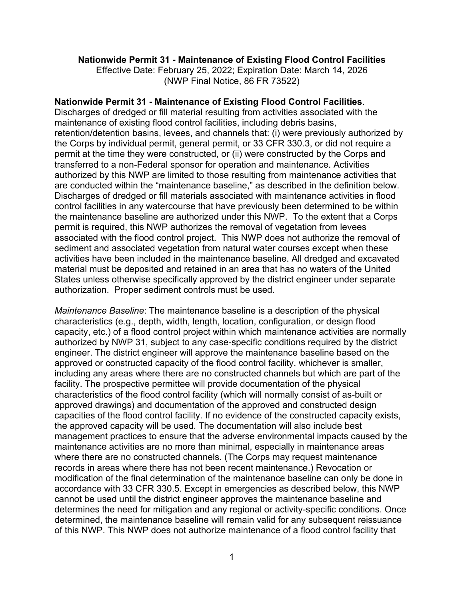#### **Nationwide Permit 31 - Maintenance of Existing Flood Control Facilities**

Effective Date: February 25, 2022; Expiration Date: March 14, 2026 (NWP Final Notice, 86 FR 73522)

#### **Nationwide Permit 31 - Maintenance of Existing Flood Control Facilities**.

Discharges of dredged or fill material resulting from activities associated with the maintenance of existing flood control facilities, including debris basins, retention/detention basins, levees, and channels that: (i) were previously authorized by the Corps by individual permit, general permit, or 33 CFR 330.3, or did not require a permit at the time they were constructed, or (ii) were constructed by the Corps and transferred to a non-Federal sponsor for operation and maintenance. Activities authorized by this NWP are limited to those resulting from maintenance activities that are conducted within the "maintenance baseline," as described in the definition below. Discharges of dredged or fill materials associated with maintenance activities in flood control facilities in any watercourse that have previously been determined to be within the maintenance baseline are authorized under this NWP. To the extent that a Corps permit is required, this NWP authorizes the removal of vegetation from levees associated with the flood control project. This NWP does not authorize the removal of sediment and associated vegetation from natural water courses except when these activities have been included in the maintenance baseline. All dredged and excavated material must be deposited and retained in an area that has no waters of the United States unless otherwise specifically approved by the district engineer under separate authorization. Proper sediment controls must be used.

*Maintenance Baseline*: The maintenance baseline is a description of the physical characteristics (e.g., depth, width, length, location, configuration, or design flood capacity, etc.) of a flood control project within which maintenance activities are normally authorized by NWP 31, subject to any case-specific conditions required by the district engineer. The district engineer will approve the maintenance baseline based on the approved or constructed capacity of the flood control facility, whichever is smaller, including any areas where there are no constructed channels but which are part of the facility. The prospective permittee will provide documentation of the physical characteristics of the flood control facility (which will normally consist of as-built or approved drawings) and documentation of the approved and constructed design capacities of the flood control facility. If no evidence of the constructed capacity exists, the approved capacity will be used. The documentation will also include best management practices to ensure that the adverse environmental impacts caused by the maintenance activities are no more than minimal, especially in maintenance areas where there are no constructed channels. (The Corps may request maintenance records in areas where there has not been recent maintenance.) Revocation or modification of the final determination of the maintenance baseline can only be done in accordance with 33 CFR 330.5. Except in emergencies as described below, this NWP cannot be used until the district engineer approves the maintenance baseline and determines the need for mitigation and any regional or activity-specific conditions. Once determined, the maintenance baseline will remain valid for any subsequent reissuance of this NWP. This NWP does not authorize maintenance of a flood control facility that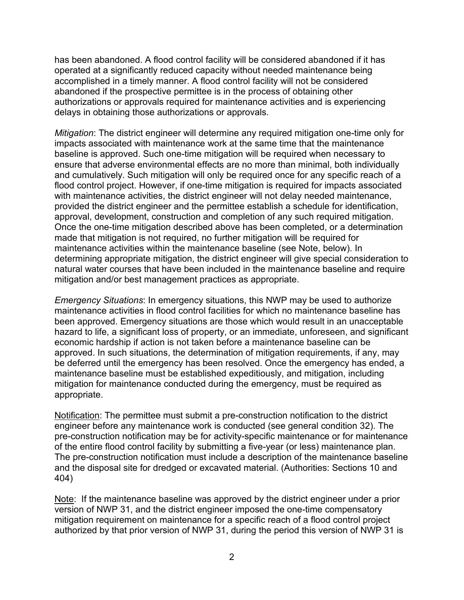has been abandoned. A flood control facility will be considered abandoned if it has operated at a significantly reduced capacity without needed maintenance being accomplished in a timely manner. A flood control facility will not be considered abandoned if the prospective permittee is in the process of obtaining other authorizations or approvals required for maintenance activities and is experiencing delays in obtaining those authorizations or approvals.

*Mitigation*: The district engineer will determine any required mitigation one-time only for impacts associated with maintenance work at the same time that the maintenance baseline is approved. Such one-time mitigation will be required when necessary to ensure that adverse environmental effects are no more than minimal, both individually and cumulatively. Such mitigation will only be required once for any specific reach of a flood control project. However, if one-time mitigation is required for impacts associated with maintenance activities, the district engineer will not delay needed maintenance, provided the district engineer and the permittee establish a schedule for identification, approval, development, construction and completion of any such required mitigation. Once the one-time mitigation described above has been completed, or a determination made that mitigation is not required, no further mitigation will be required for maintenance activities within the maintenance baseline (see Note, below). In determining appropriate mitigation, the district engineer will give special consideration to natural water courses that have been included in the maintenance baseline and require mitigation and/or best management practices as appropriate.

*Emergency Situations*: In emergency situations, this NWP may be used to authorize maintenance activities in flood control facilities for which no maintenance baseline has been approved. Emergency situations are those which would result in an unacceptable hazard to life, a significant loss of property, or an immediate, unforeseen, and significant economic hardship if action is not taken before a maintenance baseline can be approved. In such situations, the determination of mitigation requirements, if any, may be deferred until the emergency has been resolved. Once the emergency has ended, a maintenance baseline must be established expeditiously, and mitigation, including mitigation for maintenance conducted during the emergency, must be required as appropriate.

Notification: The permittee must submit a pre-construction notification to the district engineer before any maintenance work is conducted (see general condition 32). The pre-construction notification may be for activity-specific maintenance or for maintenance of the entire flood control facility by submitting a five-year (or less) maintenance plan. The pre-construction notification must include a description of the maintenance baseline and the disposal site for dredged or excavated material. (Authorities: Sections 10 and 404)

Note: If the maintenance baseline was approved by the district engineer under a prior version of NWP 31, and the district engineer imposed the one-time compensatory mitigation requirement on maintenance for a specific reach of a flood control project authorized by that prior version of NWP 31, during the period this version of NWP 31 is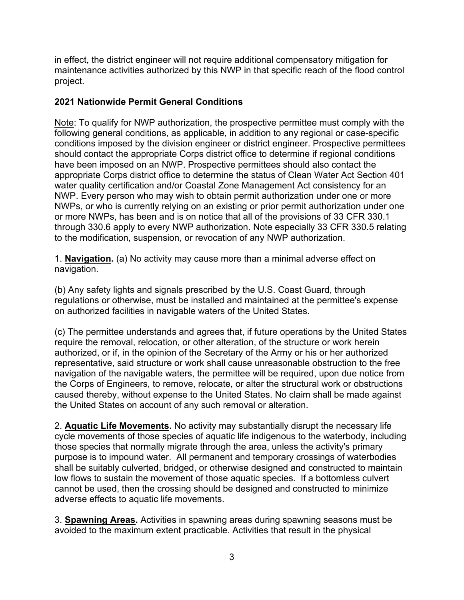in effect, the district engineer will not require additional compensatory mitigation for maintenance activities authorized by this NWP in that specific reach of the flood control project.

## **2021 Nationwide Permit General Conditions**

Note: To qualify for NWP authorization, the prospective permittee must comply with the following general conditions, as applicable, in addition to any regional or case-specific conditions imposed by the division engineer or district engineer. Prospective permittees should contact the appropriate Corps district office to determine if regional conditions have been imposed on an NWP. Prospective permittees should also contact the appropriate Corps district office to determine the status of Clean Water Act Section 401 water quality certification and/or Coastal Zone Management Act consistency for an NWP. Every person who may wish to obtain permit authorization under one or more NWPs, or who is currently relying on an existing or prior permit authorization under one or more NWPs, has been and is on notice that all of the provisions of 33 CFR 330.1 through 330.6 apply to every NWP authorization. Note especially 33 CFR 330.5 relating to the modification, suspension, or revocation of any NWP authorization.

1. **Navigation.** (a) No activity may cause more than a minimal adverse effect on navigation.

(b) Any safety lights and signals prescribed by the U.S. Coast Guard, through regulations or otherwise, must be installed and maintained at the permittee's expense on authorized facilities in navigable waters of the United States.

(c) The permittee understands and agrees that, if future operations by the United States require the removal, relocation, or other alteration, of the structure or work herein authorized, or if, in the opinion of the Secretary of the Army or his or her authorized representative, said structure or work shall cause unreasonable obstruction to the free navigation of the navigable waters, the permittee will be required, upon due notice from the Corps of Engineers, to remove, relocate, or alter the structural work or obstructions caused thereby, without expense to the United States. No claim shall be made against the United States on account of any such removal or alteration.

2. **Aquatic Life Movements.** No activity may substantially disrupt the necessary life cycle movements of those species of aquatic life indigenous to the waterbody, including those species that normally migrate through the area, unless the activity's primary purpose is to impound water. All permanent and temporary crossings of waterbodies shall be suitably culverted, bridged, or otherwise designed and constructed to maintain low flows to sustain the movement of those aquatic species. If a bottomless culvert cannot be used, then the crossing should be designed and constructed to minimize adverse effects to aquatic life movements.

3. **Spawning Areas.** Activities in spawning areas during spawning seasons must be avoided to the maximum extent practicable. Activities that result in the physical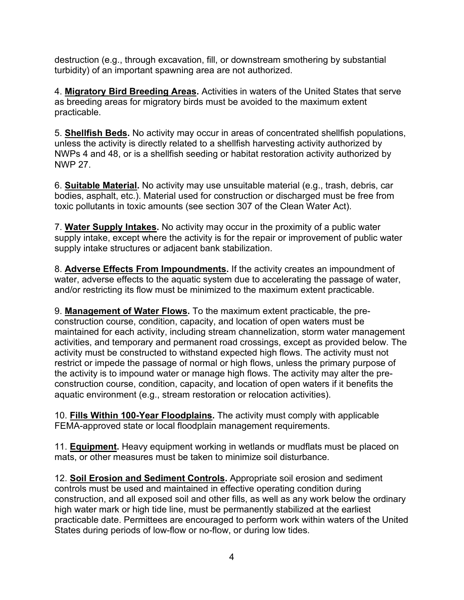destruction (e.g., through excavation, fill, or downstream smothering by substantial turbidity) of an important spawning area are not authorized.

4. **Migratory Bird Breeding Areas.** Activities in waters of the United States that serve as breeding areas for migratory birds must be avoided to the maximum extent practicable.

5. **Shellfish Beds.** No activity may occur in areas of concentrated shellfish populations, unless the activity is directly related to a shellfish harvesting activity authorized by NWPs 4 and 48, or is a shellfish seeding or habitat restoration activity authorized by NWP 27.

6. **Suitable Material.** No activity may use unsuitable material (e.g., trash, debris, car bodies, asphalt, etc.). Material used for construction or discharged must be free from toxic pollutants in toxic amounts (see section 307 of the Clean Water Act).

7. **Water Supply Intakes.** No activity may occur in the proximity of a public water supply intake, except where the activity is for the repair or improvement of public water supply intake structures or adjacent bank stabilization.

8. **Adverse Effects From Impoundments.** If the activity creates an impoundment of water, adverse effects to the aquatic system due to accelerating the passage of water, and/or restricting its flow must be minimized to the maximum extent practicable.

9. **Management of Water Flows.** To the maximum extent practicable, the preconstruction course, condition, capacity, and location of open waters must be maintained for each activity, including stream channelization, storm water management activities, and temporary and permanent road crossings, except as provided below. The activity must be constructed to withstand expected high flows. The activity must not restrict or impede the passage of normal or high flows, unless the primary purpose of the activity is to impound water or manage high flows. The activity may alter the preconstruction course, condition, capacity, and location of open waters if it benefits the aquatic environment (e.g., stream restoration or relocation activities).

10. **Fills Within 100-Year Floodplains.** The activity must comply with applicable FEMA-approved state or local floodplain management requirements.

11. **Equipment.** Heavy equipment working in wetlands or mudflats must be placed on mats, or other measures must be taken to minimize soil disturbance.

12. **Soil Erosion and Sediment Controls.** Appropriate soil erosion and sediment controls must be used and maintained in effective operating condition during construction, and all exposed soil and other fills, as well as any work below the ordinary high water mark or high tide line, must be permanently stabilized at the earliest practicable date. Permittees are encouraged to perform work within waters of the United States during periods of low-flow or no-flow, or during low tides.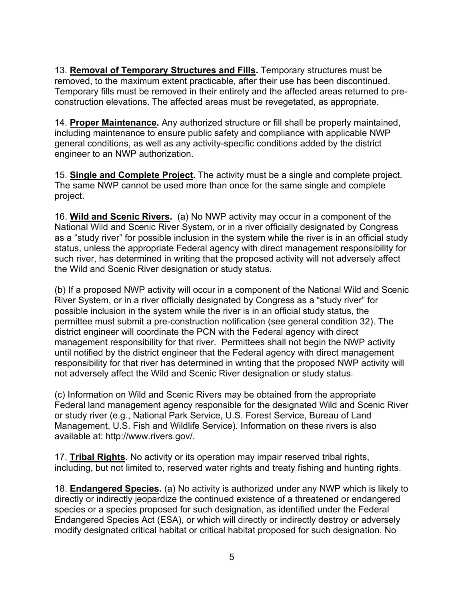13. **Removal of Temporary Structures and Fills.** Temporary structures must be removed, to the maximum extent practicable, after their use has been discontinued. Temporary fills must be removed in their entirety and the affected areas returned to preconstruction elevations. The affected areas must be revegetated, as appropriate.

14. **Proper Maintenance.** Any authorized structure or fill shall be properly maintained, including maintenance to ensure public safety and compliance with applicable NWP general conditions, as well as any activity-specific conditions added by the district engineer to an NWP authorization.

15. **Single and Complete Project.** The activity must be a single and complete project. The same NWP cannot be used more than once for the same single and complete project.

16. **Wild and Scenic Rivers.** (a) No NWP activity may occur in a component of the National Wild and Scenic River System, or in a river officially designated by Congress as a "study river" for possible inclusion in the system while the river is in an official study status, unless the appropriate Federal agency with direct management responsibility for such river, has determined in writing that the proposed activity will not adversely affect the Wild and Scenic River designation or study status.

(b) If a proposed NWP activity will occur in a component of the National Wild and Scenic River System, or in a river officially designated by Congress as a "study river" for possible inclusion in the system while the river is in an official study status, the permittee must submit a pre-construction notification (see general condition 32). The district engineer will coordinate the PCN with the Federal agency with direct management responsibility for that river. Permittees shall not begin the NWP activity until notified by the district engineer that the Federal agency with direct management responsibility for that river has determined in writing that the proposed NWP activity will not adversely affect the Wild and Scenic River designation or study status.

(c) Information on Wild and Scenic Rivers may be obtained from the appropriate Federal land management agency responsible for the designated Wild and Scenic River or study river (e.g., National Park Service, U.S. Forest Service, Bureau of Land Management, U.S. Fish and Wildlife Service). Information on these rivers is also available at: http://www.rivers.gov/.

17. **Tribal Rights.** No activity or its operation may impair reserved tribal rights, including, but not limited to, reserved water rights and treaty fishing and hunting rights.

18. **Endangered Species.** (a) No activity is authorized under any NWP which is likely to directly or indirectly jeopardize the continued existence of a threatened or endangered species or a species proposed for such designation, as identified under the Federal Endangered Species Act (ESA), or which will directly or indirectly destroy or adversely modify designated critical habitat or critical habitat proposed for such designation. No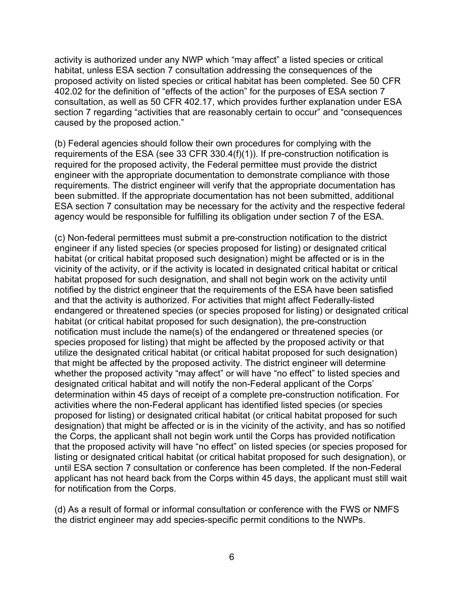activity is authorized under any NWP which "may affect" a listed species or critical habitat, unless ESA section 7 consultation addressing the consequences of the proposed activity on listed species or critical habitat has been completed. See 50 CFR 402.02 for the definition of "effects of the action" for the purposes of ESA section 7 consultation, as well as 50 CFR 402.17, which provides further explanation under ESA section 7 regarding "activities that are reasonably certain to occur" and "consequences caused by the proposed action."

(b) Federal agencies should follow their own procedures for complying with the requirements of the ESA (see 33 CFR 330.4(f)(1)). If pre-construction notification is required for the proposed activity, the Federal permittee must provide the district engineer with the appropriate documentation to demonstrate compliance with those requirements. The district engineer will verify that the appropriate documentation has been submitted. If the appropriate documentation has not been submitted, additional ESA section 7 consultation may be necessary for the activity and the respective federal agency would be responsible for fulfilling its obligation under section 7 of the ESA.

(c) Non-federal permittees must submit a pre-construction notification to the district engineer if any listed species (or species proposed for listing) or designated critical habitat (or critical habitat proposed such designation) might be affected or is in the vicinity of the activity, or if the activity is located in designated critical habitat or critical habitat proposed for such designation, and shall not begin work on the activity until notified by the district engineer that the requirements of the ESA have been satisfied and that the activity is authorized. For activities that might affect Federally-listed endangered or threatened species (or species proposed for listing) or designated critical habitat (or critical habitat proposed for such designation), the pre-construction notification must include the name(s) of the endangered or threatened species (or species proposed for listing) that might be affected by the proposed activity or that utilize the designated critical habitat (or critical habitat proposed for such designation) that might be affected by the proposed activity. The district engineer will determine whether the proposed activity "may affect" or will have "no effect" to listed species and designated critical habitat and will notify the non-Federal applicant of the Corps' determination within 45 days of receipt of a complete pre-construction notification. For activities where the non-Federal applicant has identified listed species (or species proposed for listing) or designated critical habitat (or critical habitat proposed for such designation) that might be affected or is in the vicinity of the activity, and has so notified the Corps, the applicant shall not begin work until the Corps has provided notification that the proposed activity will have "no effect" on listed species (or species proposed for listing or designated critical habitat (or critical habitat proposed for such designation), or until ESA section 7 consultation or conference has been completed. If the non-Federal applicant has not heard back from the Corps within 45 days, the applicant must still wait for notification from the Corps.

(d) As a result of formal or informal consultation or conference with the FWS or NMFS the district engineer may add species-specific permit conditions to the NWPs.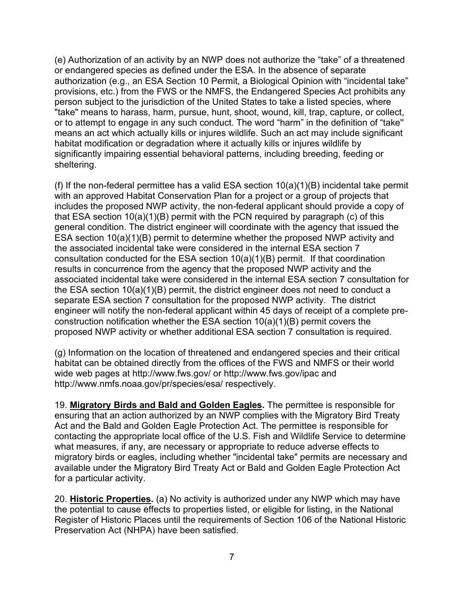(e) Authorization of an activity by an NWP does not authorize the "take" of a threatened or endangered species as defined under the ESA. In the absence of separate authorization (e.g., an ESA Section 10 Permit, a Biological Opinion with "incidental take" provisions, etc.) from the FWS or the NMFS, the Endangered Species Act prohibits any person subject to the jurisdiction of the United States to take a listed species, where "take" means to harass, harm, pursue, hunt, shoot, wound, kill, trap, capture, or collect, or to attempt to engage in any such conduct. The word "harm" in the definition of "take'' means an act which actually kills or injures wildlife. Such an act may include significant habitat modification or degradation where it actually kills or injures wildlife by significantly impairing essential behavioral patterns, including breeding, feeding or sheltering.

(f) If the non-federal permittee has a valid ESA section  $10(a)(1)(B)$  incidental take permit with an approved Habitat Conservation Plan for a project or a group of projects that includes the proposed NWP activity, the non-federal applicant should provide a copy of that ESA section 10(a)(1)(B) permit with the PCN required by paragraph (c) of this general condition. The district engineer will coordinate with the agency that issued the ESA section 10(a)(1)(B) permit to determine whether the proposed NWP activity and the associated incidental take were considered in the internal ESA section 7 consultation conducted for the ESA section 10(a)(1)(B) permit. If that coordination results in concurrence from the agency that the proposed NWP activity and the associated incidental take were considered in the internal ESA section 7 consultation for the ESA section 10(a)(1)(B) permit, the district engineer does not need to conduct a separate ESA section 7 consultation for the proposed NWP activity. The district engineer will notify the non-federal applicant within 45 days of receipt of a complete preconstruction notification whether the ESA section 10(a)(1)(B) permit covers the proposed NWP activity or whether additional ESA section 7 consultation is required.

(g) Information on the location of threatened and endangered species and their critical habitat can be obtained directly from the offices of the FWS and NMFS or their world wide web pages at http://www.fws.gov/ or http://www.fws.gov/ipac and http://www.nmfs.noaa.gov/pr/species/esa/ respectively.

19. **Migratory Birds and Bald and Golden Eagles.** The permittee is responsible for ensuring that an action authorized by an NWP complies with the Migratory Bird Treaty Act and the Bald and Golden Eagle Protection Act. The permittee is responsible for contacting the appropriate local office of the U.S. Fish and Wildlife Service to determine what measures, if any, are necessary or appropriate to reduce adverse effects to migratory birds or eagles, including whether "incidental take" permits are necessary and available under the Migratory Bird Treaty Act or Bald and Golden Eagle Protection Act for a particular activity.

20. **Historic Properties.** (a) No activity is authorized under any NWP which may have the potential to cause effects to properties listed, or eligible for listing, in the National Register of Historic Places until the requirements of Section 106 of the National Historic Preservation Act (NHPA) have been satisfied.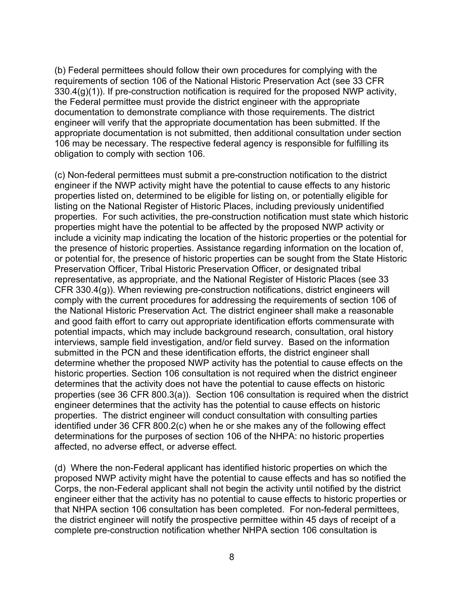(b) Federal permittees should follow their own procedures for complying with the requirements of section 106 of the National Historic Preservation Act (see 33 CFR 330.4(g)(1)). If pre-construction notification is required for the proposed NWP activity, the Federal permittee must provide the district engineer with the appropriate documentation to demonstrate compliance with those requirements. The district engineer will verify that the appropriate documentation has been submitted. If the appropriate documentation is not submitted, then additional consultation under section 106 may be necessary. The respective federal agency is responsible for fulfilling its obligation to comply with section 106.

(c) Non-federal permittees must submit a pre-construction notification to the district engineer if the NWP activity might have the potential to cause effects to any historic properties listed on, determined to be eligible for listing on, or potentially eligible for listing on the National Register of Historic Places, including previously unidentified properties. For such activities, the pre-construction notification must state which historic properties might have the potential to be affected by the proposed NWP activity or include a vicinity map indicating the location of the historic properties or the potential for the presence of historic properties. Assistance regarding information on the location of, or potential for, the presence of historic properties can be sought from the State Historic Preservation Officer, Tribal Historic Preservation Officer, or designated tribal representative, as appropriate, and the National Register of Historic Places (see 33 CFR 330.4(g)). When reviewing pre-construction notifications, district engineers will comply with the current procedures for addressing the requirements of section 106 of the National Historic Preservation Act. The district engineer shall make a reasonable and good faith effort to carry out appropriate identification efforts commensurate with potential impacts, which may include background research, consultation, oral history interviews, sample field investigation, and/or field survey. Based on the information submitted in the PCN and these identification efforts, the district engineer shall determine whether the proposed NWP activity has the potential to cause effects on the historic properties. Section 106 consultation is not required when the district engineer determines that the activity does not have the potential to cause effects on historic properties (see 36 CFR 800.3(a)). Section 106 consultation is required when the district engineer determines that the activity has the potential to cause effects on historic properties. The district engineer will conduct consultation with consulting parties identified under 36 CFR 800.2(c) when he or she makes any of the following effect determinations for the purposes of section 106 of the NHPA: no historic properties affected, no adverse effect, or adverse effect.

(d) Where the non-Federal applicant has identified historic properties on which the proposed NWP activity might have the potential to cause effects and has so notified the Corps, the non-Federal applicant shall not begin the activity until notified by the district engineer either that the activity has no potential to cause effects to historic properties or that NHPA section 106 consultation has been completed. For non-federal permittees, the district engineer will notify the prospective permittee within 45 days of receipt of a complete pre-construction notification whether NHPA section 106 consultation is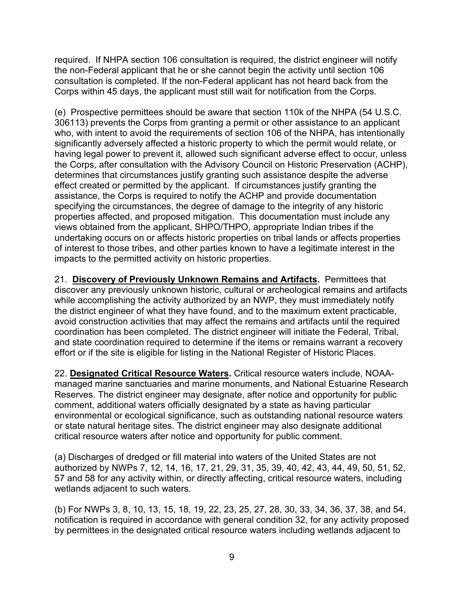required. If NHPA section 106 consultation is required, the district engineer will notify the non-Federal applicant that he or she cannot begin the activity until section 106 consultation is completed. If the non-Federal applicant has not heard back from the Corps within 45 days, the applicant must still wait for notification from the Corps.

(e) Prospective permittees should be aware that section 110k of the NHPA (54 U.S.C. 306113) prevents the Corps from granting a permit or other assistance to an applicant who, with intent to avoid the requirements of section 106 of the NHPA, has intentionally significantly adversely affected a historic property to which the permit would relate, or having legal power to prevent it, allowed such significant adverse effect to occur, unless the Corps, after consultation with the Advisory Council on Historic Preservation (ACHP), determines that circumstances justify granting such assistance despite the adverse effect created or permitted by the applicant. If circumstances justify granting the assistance, the Corps is required to notify the ACHP and provide documentation specifying the circumstances, the degree of damage to the integrity of any historic properties affected, and proposed mitigation. This documentation must include any views obtained from the applicant, SHPO/THPO, appropriate Indian tribes if the undertaking occurs on or affects historic properties on tribal lands or affects properties of interest to those tribes, and other parties known to have a legitimate interest in the impacts to the permitted activity on historic properties.

21. **Discovery of Previously Unknown Remains and Artifacts.** Permittees that discover any previously unknown historic, cultural or archeological remains and artifacts while accomplishing the activity authorized by an NWP, they must immediately notify the district engineer of what they have found, and to the maximum extent practicable, avoid construction activities that may affect the remains and artifacts until the required coordination has been completed. The district engineer will initiate the Federal, Tribal, and state coordination required to determine if the items or remains warrant a recovery effort or if the site is eligible for listing in the National Register of Historic Places.

22. **Designated Critical Resource Waters.** Critical resource waters include, NOAAmanaged marine sanctuaries and marine monuments, and National Estuarine Research Reserves. The district engineer may designate, after notice and opportunity for public comment, additional waters officially designated by a state as having particular environmental or ecological significance, such as outstanding national resource waters or state natural heritage sites. The district engineer may also designate additional critical resource waters after notice and opportunity for public comment.

(a) Discharges of dredged or fill material into waters of the United States are not authorized by NWPs 7, 12, 14, 16, 17, 21, 29, 31, 35, 39, 40, 42, 43, 44, 49, 50, 51, 52, 57 and 58 for any activity within, or directly affecting, critical resource waters, including wetlands adjacent to such waters.

(b) For NWPs 3, 8, 10, 13, 15, 18, 19, 22, 23, 25, 27, 28, 30, 33, 34, 36, 37, 38, and 54, notification is required in accordance with general condition 32, for any activity proposed by permittees in the designated critical resource waters including wetlands adjacent to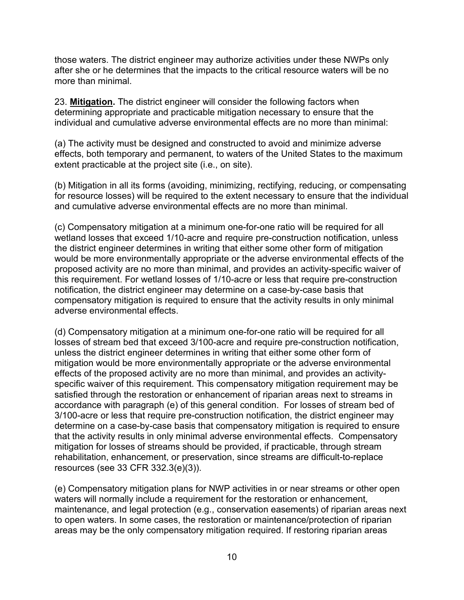those waters. The district engineer may authorize activities under these NWPs only after she or he determines that the impacts to the critical resource waters will be no more than minimal.

23. **Mitigation.** The district engineer will consider the following factors when determining appropriate and practicable mitigation necessary to ensure that the individual and cumulative adverse environmental effects are no more than minimal:

(a) The activity must be designed and constructed to avoid and minimize adverse effects, both temporary and permanent, to waters of the United States to the maximum extent practicable at the project site (i.e., on site).

(b) Mitigation in all its forms (avoiding, minimizing, rectifying, reducing, or compensating for resource losses) will be required to the extent necessary to ensure that the individual and cumulative adverse environmental effects are no more than minimal.

(c) Compensatory mitigation at a minimum one-for-one ratio will be required for all wetland losses that exceed 1/10-acre and require pre-construction notification, unless the district engineer determines in writing that either some other form of mitigation would be more environmentally appropriate or the adverse environmental effects of the proposed activity are no more than minimal, and provides an activity-specific waiver of this requirement. For wetland losses of 1/10-acre or less that require pre-construction notification, the district engineer may determine on a case-by-case basis that compensatory mitigation is required to ensure that the activity results in only minimal adverse environmental effects.

(d) Compensatory mitigation at a minimum one-for-one ratio will be required for all losses of stream bed that exceed 3/100-acre and require pre-construction notification, unless the district engineer determines in writing that either some other form of mitigation would be more environmentally appropriate or the adverse environmental effects of the proposed activity are no more than minimal, and provides an activityspecific waiver of this requirement. This compensatory mitigation requirement may be satisfied through the restoration or enhancement of riparian areas next to streams in accordance with paragraph (e) of this general condition. For losses of stream bed of 3/100-acre or less that require pre-construction notification, the district engineer may determine on a case-by-case basis that compensatory mitigation is required to ensure that the activity results in only minimal adverse environmental effects. Compensatory mitigation for losses of streams should be provided, if practicable, through stream rehabilitation, enhancement, or preservation, since streams are difficult-to-replace resources (see 33 CFR 332.3(e)(3)).

(e) Compensatory mitigation plans for NWP activities in or near streams or other open waters will normally include a requirement for the restoration or enhancement, maintenance, and legal protection (e.g., conservation easements) of riparian areas next to open waters. In some cases, the restoration or maintenance/protection of riparian areas may be the only compensatory mitigation required. If restoring riparian areas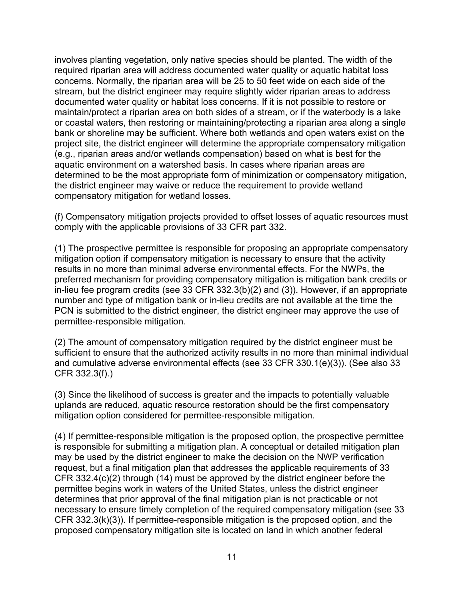involves planting vegetation, only native species should be planted. The width of the required riparian area will address documented water quality or aquatic habitat loss concerns. Normally, the riparian area will be 25 to 50 feet wide on each side of the stream, but the district engineer may require slightly wider riparian areas to address documented water quality or habitat loss concerns. If it is not possible to restore or maintain/protect a riparian area on both sides of a stream, or if the waterbody is a lake or coastal waters, then restoring or maintaining/protecting a riparian area along a single bank or shoreline may be sufficient. Where both wetlands and open waters exist on the project site, the district engineer will determine the appropriate compensatory mitigation (e.g., riparian areas and/or wetlands compensation) based on what is best for the aquatic environment on a watershed basis. In cases where riparian areas are determined to be the most appropriate form of minimization or compensatory mitigation, the district engineer may waive or reduce the requirement to provide wetland compensatory mitigation for wetland losses.

(f) Compensatory mitigation projects provided to offset losses of aquatic resources must comply with the applicable provisions of 33 CFR part 332.

(1) The prospective permittee is responsible for proposing an appropriate compensatory mitigation option if compensatory mitigation is necessary to ensure that the activity results in no more than minimal adverse environmental effects. For the NWPs, the preferred mechanism for providing compensatory mitigation is mitigation bank credits or in-lieu fee program credits (see 33 CFR 332.3(b)(2) and (3)). However, if an appropriate number and type of mitigation bank or in-lieu credits are not available at the time the PCN is submitted to the district engineer, the district engineer may approve the use of permittee-responsible mitigation.

(2) The amount of compensatory mitigation required by the district engineer must be sufficient to ensure that the authorized activity results in no more than minimal individual and cumulative adverse environmental effects (see 33 CFR 330.1(e)(3)). (See also 33 CFR 332.3(f).)

(3) Since the likelihood of success is greater and the impacts to potentially valuable uplands are reduced, aquatic resource restoration should be the first compensatory mitigation option considered for permittee-responsible mitigation.

(4) If permittee-responsible mitigation is the proposed option, the prospective permittee is responsible for submitting a mitigation plan. A conceptual or detailed mitigation plan may be used by the district engineer to make the decision on the NWP verification request, but a final mitigation plan that addresses the applicable requirements of 33 CFR 332.4(c)(2) through (14) must be approved by the district engineer before the permittee begins work in waters of the United States, unless the district engineer determines that prior approval of the final mitigation plan is not practicable or not necessary to ensure timely completion of the required compensatory mitigation (see 33 CFR 332.3(k)(3)). If permittee-responsible mitigation is the proposed option, and the proposed compensatory mitigation site is located on land in which another federal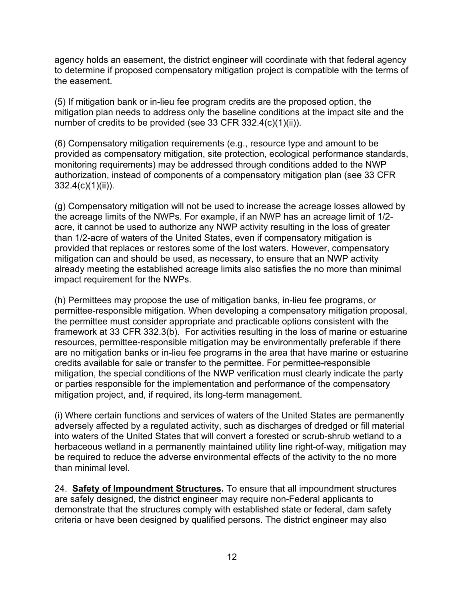agency holds an easement, the district engineer will coordinate with that federal agency to determine if proposed compensatory mitigation project is compatible with the terms of the easement.

(5) If mitigation bank or in-lieu fee program credits are the proposed option, the mitigation plan needs to address only the baseline conditions at the impact site and the number of credits to be provided (see 33 CFR 332.4(c)(1)(ii)).

(6) Compensatory mitigation requirements (e.g., resource type and amount to be provided as compensatory mitigation, site protection, ecological performance standards, monitoring requirements) may be addressed through conditions added to the NWP authorization, instead of components of a compensatory mitigation plan (see 33 CFR 332.4(c)(1)(ii)).

(g) Compensatory mitigation will not be used to increase the acreage losses allowed by the acreage limits of the NWPs. For example, if an NWP has an acreage limit of 1/2 acre, it cannot be used to authorize any NWP activity resulting in the loss of greater than 1/2-acre of waters of the United States, even if compensatory mitigation is provided that replaces or restores some of the lost waters. However, compensatory mitigation can and should be used, as necessary, to ensure that an NWP activity already meeting the established acreage limits also satisfies the no more than minimal impact requirement for the NWPs.

(h) Permittees may propose the use of mitigation banks, in-lieu fee programs, or permittee-responsible mitigation. When developing a compensatory mitigation proposal, the permittee must consider appropriate and practicable options consistent with the framework at 33 CFR 332.3(b). For activities resulting in the loss of marine or estuarine resources, permittee-responsible mitigation may be environmentally preferable if there are no mitigation banks or in-lieu fee programs in the area that have marine or estuarine credits available for sale or transfer to the permittee. For permittee-responsible mitigation, the special conditions of the NWP verification must clearly indicate the party or parties responsible for the implementation and performance of the compensatory mitigation project, and, if required, its long-term management.

(i) Where certain functions and services of waters of the United States are permanently adversely affected by a regulated activity, such as discharges of dredged or fill material into waters of the United States that will convert a forested or scrub-shrub wetland to a herbaceous wetland in a permanently maintained utility line right-of-way, mitigation may be required to reduce the adverse environmental effects of the activity to the no more than minimal level.

24. **Safety of Impoundment Structures.** To ensure that all impoundment structures are safely designed, the district engineer may require non-Federal applicants to demonstrate that the structures comply with established state or federal, dam safety criteria or have been designed by qualified persons. The district engineer may also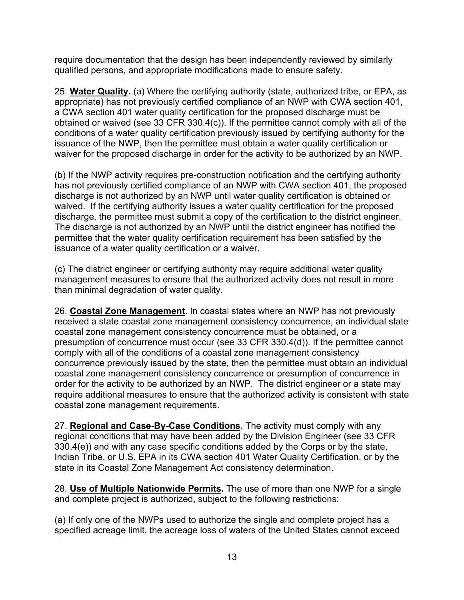require documentation that the design has been independently reviewed by similarly qualified persons, and appropriate modifications made to ensure safety.

25. **Water Quality.** (a) Where the certifying authority (state, authorized tribe, or EPA, as appropriate) has not previously certified compliance of an NWP with CWA section 401, a CWA section 401 water quality certification for the proposed discharge must be obtained or waived (see 33 CFR 330.4(c)). If the permittee cannot comply with all of the conditions of a water quality certification previously issued by certifying authority for the issuance of the NWP, then the permittee must obtain a water quality certification or waiver for the proposed discharge in order for the activity to be authorized by an NWP.

(b) If the NWP activity requires pre-construction notification and the certifying authority has not previously certified compliance of an NWP with CWA section 401, the proposed discharge is not authorized by an NWP until water quality certification is obtained or waived. If the certifying authority issues a water quality certification for the proposed discharge, the permittee must submit a copy of the certification to the district engineer. The discharge is not authorized by an NWP until the district engineer has notified the permittee that the water quality certification requirement has been satisfied by the issuance of a water quality certification or a waiver.

(c) The district engineer or certifying authority may require additional water quality management measures to ensure that the authorized activity does not result in more than minimal degradation of water quality.

26. **Coastal Zone Management.** In coastal states where an NWP has not previously received a state coastal zone management consistency concurrence, an individual state coastal zone management consistency concurrence must be obtained, or a presumption of concurrence must occur (see 33 CFR 330.4(d)). If the permittee cannot comply with all of the conditions of a coastal zone management consistency concurrence previously issued by the state, then the permittee must obtain an individual coastal zone management consistency concurrence or presumption of concurrence in order for the activity to be authorized by an NWP. The district engineer or a state may require additional measures to ensure that the authorized activity is consistent with state coastal zone management requirements.

27. **Regional and Case-By-Case Conditions.** The activity must comply with any regional conditions that may have been added by the Division Engineer (see 33 CFR 330.4(e)) and with any case specific conditions added by the Corps or by the state, Indian Tribe, or U.S. EPA in its CWA section 401 Water Quality Certification, or by the state in its Coastal Zone Management Act consistency determination.

28. **Use of Multiple Nationwide Permits.** The use of more than one NWP for a single and complete project is authorized, subject to the following restrictions:

(a) If only one of the NWPs used to authorize the single and complete project has a specified acreage limit, the acreage loss of waters of the United States cannot exceed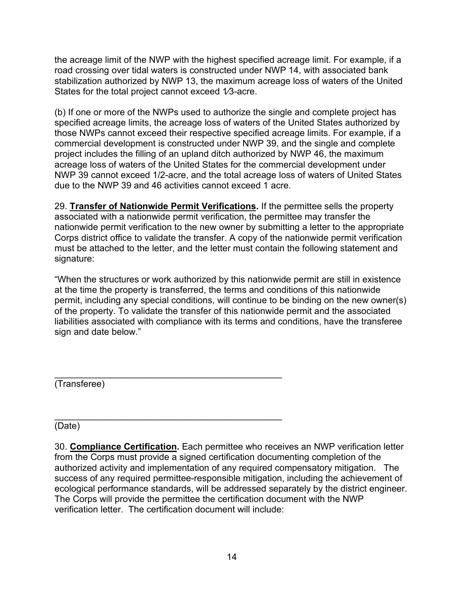the acreage limit of the NWP with the highest specified acreage limit. For example, if a road crossing over tidal waters is constructed under NWP 14, with associated bank stabilization authorized by NWP 13, the maximum acreage loss of waters of the United States for the total project cannot exceed 1⁄3-acre.

(b) If one or more of the NWPs used to authorize the single and complete project has specified acreage limits, the acreage loss of waters of the United States authorized by those NWPs cannot exceed their respective specified acreage limits. For example, if a commercial development is constructed under NWP 39, and the single and complete project includes the filling of an upland ditch authorized by NWP 46, the maximum acreage loss of waters of the United States for the commercial development under NWP 39 cannot exceed 1/2-acre, and the total acreage loss of waters of United States due to the NWP 39 and 46 activities cannot exceed 1 acre.

29. **Transfer of Nationwide Permit Verifications.** If the permittee sells the property associated with a nationwide permit verification, the permittee may transfer the nationwide permit verification to the new owner by submitting a letter to the appropriate Corps district office to validate the transfer. A copy of the nationwide permit verification must be attached to the letter, and the letter must contain the following statement and signature:

"When the structures or work authorized by this nationwide permit are still in existence at the time the property is transferred, the terms and conditions of this nationwide permit, including any special conditions, will continue to be binding on the new owner(s) of the property. To validate the transfer of this nationwide permit and the associated liabilities associated with compliance with its terms and conditions, have the transferee sign and date below."

\_\_\_\_\_\_\_\_\_\_\_\_\_\_\_\_\_\_\_\_\_\_\_\_\_\_\_\_\_\_\_\_\_\_\_\_\_\_\_\_\_\_\_\_\_ (Transferee)

\_\_\_\_\_\_\_\_\_\_\_\_\_\_\_\_\_\_\_\_\_\_\_\_\_\_\_\_\_\_\_\_\_\_\_\_\_\_\_\_\_\_\_\_\_ (Date)

30. **Compliance Certification.** Each permittee who receives an NWP verification letter from the Corps must provide a signed certification documenting completion of the authorized activity and implementation of any required compensatory mitigation. The success of any required permittee-responsible mitigation, including the achievement of ecological performance standards, will be addressed separately by the district engineer. The Corps will provide the permittee the certification document with the NWP verification letter. The certification document will include: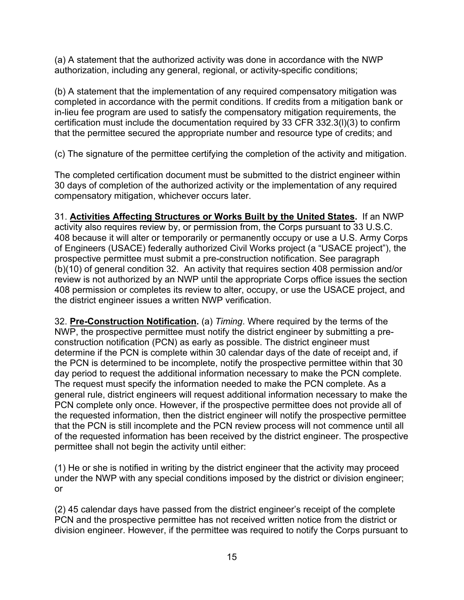(a) A statement that the authorized activity was done in accordance with the NWP authorization, including any general, regional, or activity-specific conditions;

(b) A statement that the implementation of any required compensatory mitigation was completed in accordance with the permit conditions. If credits from a mitigation bank or in-lieu fee program are used to satisfy the compensatory mitigation requirements, the certification must include the documentation required by 33 CFR 332.3(l)(3) to confirm that the permittee secured the appropriate number and resource type of credits; and

(c) The signature of the permittee certifying the completion of the activity and mitigation.

The completed certification document must be submitted to the district engineer within 30 days of completion of the authorized activity or the implementation of any required compensatory mitigation, whichever occurs later.

31. **Activities Affecting Structures or Works Built by the United States.** If an NWP activity also requires review by, or permission from, the Corps pursuant to 33 U.S.C. 408 because it will alter or temporarily or permanently occupy or use a U.S. Army Corps of Engineers (USACE) federally authorized Civil Works project (a "USACE project"), the prospective permittee must submit a pre-construction notification. See paragraph (b)(10) of general condition 32. An activity that requires section 408 permission and/or review is not authorized by an NWP until the appropriate Corps office issues the section 408 permission or completes its review to alter, occupy, or use the USACE project, and the district engineer issues a written NWP verification.

32. **Pre-Construction Notification.** (a) *Timing*. Where required by the terms of the NWP, the prospective permittee must notify the district engineer by submitting a preconstruction notification (PCN) as early as possible. The district engineer must determine if the PCN is complete within 30 calendar days of the date of receipt and, if the PCN is determined to be incomplete, notify the prospective permittee within that 30 day period to request the additional information necessary to make the PCN complete. The request must specify the information needed to make the PCN complete. As a general rule, district engineers will request additional information necessary to make the PCN complete only once. However, if the prospective permittee does not provide all of the requested information, then the district engineer will notify the prospective permittee that the PCN is still incomplete and the PCN review process will not commence until all of the requested information has been received by the district engineer. The prospective permittee shall not begin the activity until either:

(1) He or she is notified in writing by the district engineer that the activity may proceed under the NWP with any special conditions imposed by the district or division engineer; or

(2) 45 calendar days have passed from the district engineer's receipt of the complete PCN and the prospective permittee has not received written notice from the district or division engineer. However, if the permittee was required to notify the Corps pursuant to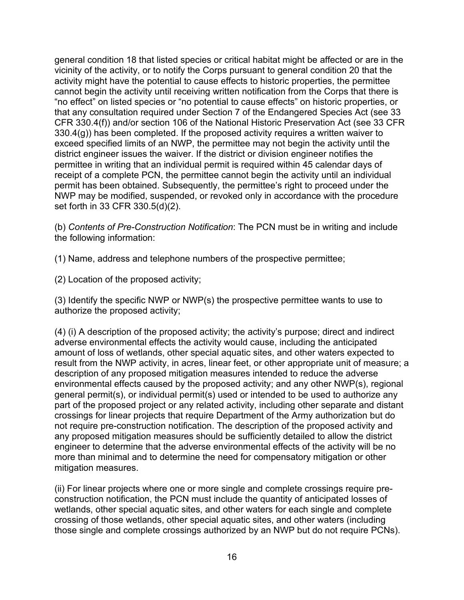general condition 18 that listed species or critical habitat might be affected or are in the vicinity of the activity, or to notify the Corps pursuant to general condition 20 that the activity might have the potential to cause effects to historic properties, the permittee cannot begin the activity until receiving written notification from the Corps that there is "no effect" on listed species or "no potential to cause effects" on historic properties, or that any consultation required under Section 7 of the Endangered Species Act (see 33 CFR 330.4(f)) and/or section 106 of the National Historic Preservation Act (see 33 CFR 330.4(g)) has been completed. If the proposed activity requires a written waiver to exceed specified limits of an NWP, the permittee may not begin the activity until the district engineer issues the waiver. If the district or division engineer notifies the permittee in writing that an individual permit is required within 45 calendar days of receipt of a complete PCN, the permittee cannot begin the activity until an individual permit has been obtained. Subsequently, the permittee's right to proceed under the NWP may be modified, suspended, or revoked only in accordance with the procedure set forth in 33 CFR 330.5(d)(2).

(b) *Contents of Pre-Construction Notification*: The PCN must be in writing and include the following information:

(1) Name, address and telephone numbers of the prospective permittee;

(2) Location of the proposed activity;

(3) Identify the specific NWP or NWP(s) the prospective permittee wants to use to authorize the proposed activity;

(4) (i) A description of the proposed activity; the activity's purpose; direct and indirect adverse environmental effects the activity would cause, including the anticipated amount of loss of wetlands, other special aquatic sites, and other waters expected to result from the NWP activity, in acres, linear feet, or other appropriate unit of measure; a description of any proposed mitigation measures intended to reduce the adverse environmental effects caused by the proposed activity; and any other NWP(s), regional general permit(s), or individual permit(s) used or intended to be used to authorize any part of the proposed project or any related activity, including other separate and distant crossings for linear projects that require Department of the Army authorization but do not require pre-construction notification. The description of the proposed activity and any proposed mitigation measures should be sufficiently detailed to allow the district engineer to determine that the adverse environmental effects of the activity will be no more than minimal and to determine the need for compensatory mitigation or other mitigation measures.

(ii) For linear projects where one or more single and complete crossings require preconstruction notification, the PCN must include the quantity of anticipated losses of wetlands, other special aquatic sites, and other waters for each single and complete crossing of those wetlands, other special aquatic sites, and other waters (including those single and complete crossings authorized by an NWP but do not require PCNs).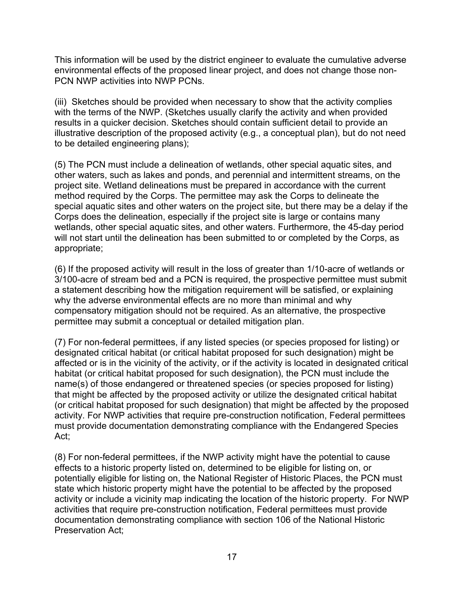This information will be used by the district engineer to evaluate the cumulative adverse environmental effects of the proposed linear project, and does not change those non-PCN NWP activities into NWP PCNs.

(iii) Sketches should be provided when necessary to show that the activity complies with the terms of the NWP. (Sketches usually clarify the activity and when provided results in a quicker decision. Sketches should contain sufficient detail to provide an illustrative description of the proposed activity (e.g., a conceptual plan), but do not need to be detailed engineering plans);

(5) The PCN must include a delineation of wetlands, other special aquatic sites, and other waters, such as lakes and ponds, and perennial and intermittent streams, on the project site. Wetland delineations must be prepared in accordance with the current method required by the Corps. The permittee may ask the Corps to delineate the special aquatic sites and other waters on the project site, but there may be a delay if the Corps does the delineation, especially if the project site is large or contains many wetlands, other special aquatic sites, and other waters. Furthermore, the 45-day period will not start until the delineation has been submitted to or completed by the Corps, as appropriate;

(6) If the proposed activity will result in the loss of greater than 1/10-acre of wetlands or 3/100-acre of stream bed and a PCN is required, the prospective permittee must submit a statement describing how the mitigation requirement will be satisfied, or explaining why the adverse environmental effects are no more than minimal and why compensatory mitigation should not be required. As an alternative, the prospective permittee may submit a conceptual or detailed mitigation plan.

(7) For non-federal permittees, if any listed species (or species proposed for listing) or designated critical habitat (or critical habitat proposed for such designation) might be affected or is in the vicinity of the activity, or if the activity is located in designated critical habitat (or critical habitat proposed for such designation), the PCN must include the name(s) of those endangered or threatened species (or species proposed for listing) that might be affected by the proposed activity or utilize the designated critical habitat (or critical habitat proposed for such designation) that might be affected by the proposed activity. For NWP activities that require pre-construction notification, Federal permittees must provide documentation demonstrating compliance with the Endangered Species Act;

(8) For non-federal permittees, if the NWP activity might have the potential to cause effects to a historic property listed on, determined to be eligible for listing on, or potentially eligible for listing on, the National Register of Historic Places, the PCN must state which historic property might have the potential to be affected by the proposed activity or include a vicinity map indicating the location of the historic property. For NWP activities that require pre-construction notification, Federal permittees must provide documentation demonstrating compliance with section 106 of the National Historic Preservation Act;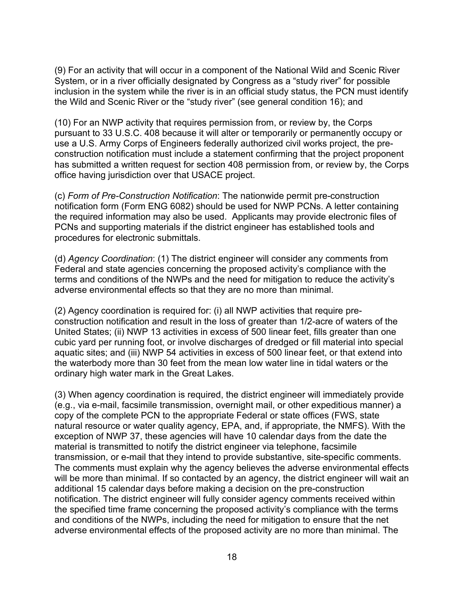(9) For an activity that will occur in a component of the National Wild and Scenic River System, or in a river officially designated by Congress as a "study river" for possible inclusion in the system while the river is in an official study status, the PCN must identify the Wild and Scenic River or the "study river" (see general condition 16); and

(10) For an NWP activity that requires permission from, or review by, the Corps pursuant to 33 U.S.C. 408 because it will alter or temporarily or permanently occupy or use a U.S. Army Corps of Engineers federally authorized civil works project, the preconstruction notification must include a statement confirming that the project proponent has submitted a written request for section 408 permission from, or review by, the Corps office having jurisdiction over that USACE project.

(c) *Form of Pre-Construction Notification*: The nationwide permit pre-construction notification form (Form ENG 6082) should be used for NWP PCNs. A letter containing the required information may also be used. Applicants may provide electronic files of PCNs and supporting materials if the district engineer has established tools and procedures for electronic submittals.

(d) *Agency Coordination*: (1) The district engineer will consider any comments from Federal and state agencies concerning the proposed activity's compliance with the terms and conditions of the NWPs and the need for mitigation to reduce the activity's adverse environmental effects so that they are no more than minimal.

(2) Agency coordination is required for: (i) all NWP activities that require preconstruction notification and result in the loss of greater than 1/2-acre of waters of the United States; (ii) NWP 13 activities in excess of 500 linear feet, fills greater than one cubic yard per running foot, or involve discharges of dredged or fill material into special aquatic sites; and (iii) NWP 54 activities in excess of 500 linear feet, or that extend into the waterbody more than 30 feet from the mean low water line in tidal waters or the ordinary high water mark in the Great Lakes.

(3) When agency coordination is required, the district engineer will immediately provide (e.g., via e-mail, facsimile transmission, overnight mail, or other expeditious manner) a copy of the complete PCN to the appropriate Federal or state offices (FWS, state natural resource or water quality agency, EPA, and, if appropriate, the NMFS). With the exception of NWP 37, these agencies will have 10 calendar days from the date the material is transmitted to notify the district engineer via telephone, facsimile transmission, or e-mail that they intend to provide substantive, site-specific comments. The comments must explain why the agency believes the adverse environmental effects will be more than minimal. If so contacted by an agency, the district engineer will wait an additional 15 calendar days before making a decision on the pre-construction notification. The district engineer will fully consider agency comments received within the specified time frame concerning the proposed activity's compliance with the terms and conditions of the NWPs, including the need for mitigation to ensure that the net adverse environmental effects of the proposed activity are no more than minimal. The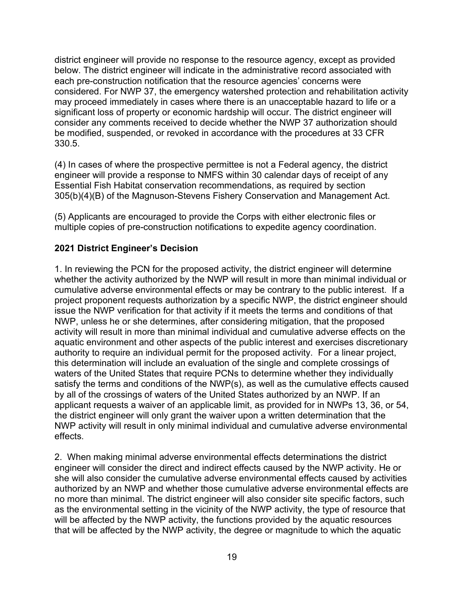district engineer will provide no response to the resource agency, except as provided below. The district engineer will indicate in the administrative record associated with each pre-construction notification that the resource agencies' concerns were considered. For NWP 37, the emergency watershed protection and rehabilitation activity may proceed immediately in cases where there is an unacceptable hazard to life or a significant loss of property or economic hardship will occur. The district engineer will consider any comments received to decide whether the NWP 37 authorization should be modified, suspended, or revoked in accordance with the procedures at 33 CFR 330.5.

(4) In cases of where the prospective permittee is not a Federal agency, the district engineer will provide a response to NMFS within 30 calendar days of receipt of any Essential Fish Habitat conservation recommendations, as required by section 305(b)(4)(B) of the Magnuson-Stevens Fishery Conservation and Management Act.

(5) Applicants are encouraged to provide the Corps with either electronic files or multiple copies of pre-construction notifications to expedite agency coordination.

# **2021 District Engineer's Decision**

1. In reviewing the PCN for the proposed activity, the district engineer will determine whether the activity authorized by the NWP will result in more than minimal individual or cumulative adverse environmental effects or may be contrary to the public interest. If a project proponent requests authorization by a specific NWP, the district engineer should issue the NWP verification for that activity if it meets the terms and conditions of that NWP, unless he or she determines, after considering mitigation, that the proposed activity will result in more than minimal individual and cumulative adverse effects on the aquatic environment and other aspects of the public interest and exercises discretionary authority to require an individual permit for the proposed activity. For a linear project, this determination will include an evaluation of the single and complete crossings of waters of the United States that require PCNs to determine whether they individually satisfy the terms and conditions of the NWP(s), as well as the cumulative effects caused by all of the crossings of waters of the United States authorized by an NWP. If an applicant requests a waiver of an applicable limit, as provided for in NWPs 13, 36, or 54, the district engineer will only grant the waiver upon a written determination that the NWP activity will result in only minimal individual and cumulative adverse environmental effects.

2. When making minimal adverse environmental effects determinations the district engineer will consider the direct and indirect effects caused by the NWP activity. He or she will also consider the cumulative adverse environmental effects caused by activities authorized by an NWP and whether those cumulative adverse environmental effects are no more than minimal. The district engineer will also consider site specific factors, such as the environmental setting in the vicinity of the NWP activity, the type of resource that will be affected by the NWP activity, the functions provided by the aquatic resources that will be affected by the NWP activity, the degree or magnitude to which the aquatic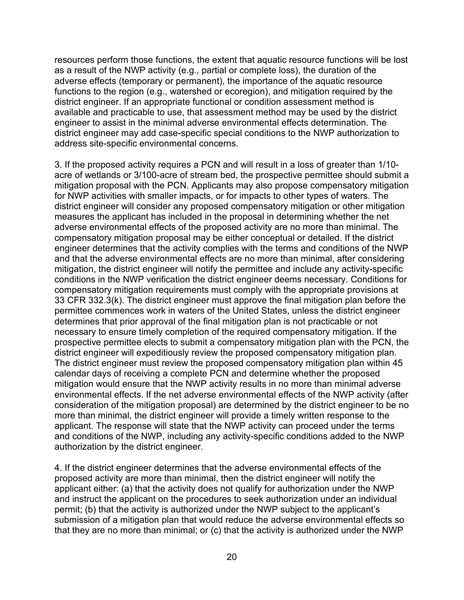resources perform those functions, the extent that aquatic resource functions will be lost as a result of the NWP activity (e.g., partial or complete loss), the duration of the adverse effects (temporary or permanent), the importance of the aquatic resource functions to the region (e.g., watershed or ecoregion), and mitigation required by the district engineer. If an appropriate functional or condition assessment method is available and practicable to use, that assessment method may be used by the district engineer to assist in the minimal adverse environmental effects determination. The district engineer may add case-specific special conditions to the NWP authorization to address site-specific environmental concerns.

3. If the proposed activity requires a PCN and will result in a loss of greater than 1/10 acre of wetlands or 3/100-acre of stream bed, the prospective permittee should submit a mitigation proposal with the PCN. Applicants may also propose compensatory mitigation for NWP activities with smaller impacts, or for impacts to other types of waters. The district engineer will consider any proposed compensatory mitigation or other mitigation measures the applicant has included in the proposal in determining whether the net adverse environmental effects of the proposed activity are no more than minimal. The compensatory mitigation proposal may be either conceptual or detailed. If the district engineer determines that the activity complies with the terms and conditions of the NWP and that the adverse environmental effects are no more than minimal, after considering mitigation, the district engineer will notify the permittee and include any activity-specific conditions in the NWP verification the district engineer deems necessary. Conditions for compensatory mitigation requirements must comply with the appropriate provisions at 33 CFR 332.3(k). The district engineer must approve the final mitigation plan before the permittee commences work in waters of the United States, unless the district engineer determines that prior approval of the final mitigation plan is not practicable or not necessary to ensure timely completion of the required compensatory mitigation. If the prospective permittee elects to submit a compensatory mitigation plan with the PCN, the district engineer will expeditiously review the proposed compensatory mitigation plan. The district engineer must review the proposed compensatory mitigation plan within 45 calendar days of receiving a complete PCN and determine whether the proposed mitigation would ensure that the NWP activity results in no more than minimal adverse environmental effects. If the net adverse environmental effects of the NWP activity (after consideration of the mitigation proposal) are determined by the district engineer to be no more than minimal, the district engineer will provide a timely written response to the applicant. The response will state that the NWP activity can proceed under the terms and conditions of the NWP, including any activity-specific conditions added to the NWP authorization by the district engineer.

4. If the district engineer determines that the adverse environmental effects of the proposed activity are more than minimal, then the district engineer will notify the applicant either: (a) that the activity does not qualify for authorization under the NWP and instruct the applicant on the procedures to seek authorization under an individual permit; (b) that the activity is authorized under the NWP subject to the applicant's submission of a mitigation plan that would reduce the adverse environmental effects so that they are no more than minimal; or (c) that the activity is authorized under the NWP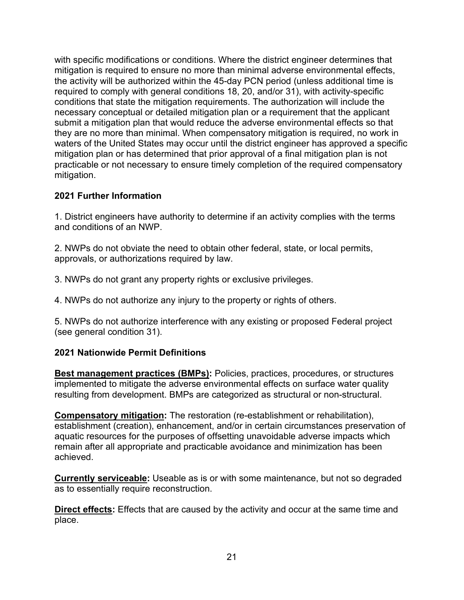with specific modifications or conditions. Where the district engineer determines that mitigation is required to ensure no more than minimal adverse environmental effects, the activity will be authorized within the 45-day PCN period (unless additional time is required to comply with general conditions 18, 20, and/or 31), with activity-specific conditions that state the mitigation requirements. The authorization will include the necessary conceptual or detailed mitigation plan or a requirement that the applicant submit a mitigation plan that would reduce the adverse environmental effects so that they are no more than minimal. When compensatory mitigation is required, no work in waters of the United States may occur until the district engineer has approved a specific mitigation plan or has determined that prior approval of a final mitigation plan is not practicable or not necessary to ensure timely completion of the required compensatory mitigation.

### **2021 Further Information**

1. District engineers have authority to determine if an activity complies with the terms and conditions of an NWP.

2. NWPs do not obviate the need to obtain other federal, state, or local permits, approvals, or authorizations required by law.

3. NWPs do not grant any property rights or exclusive privileges.

4. NWPs do not authorize any injury to the property or rights of others.

5. NWPs do not authorize interference with any existing or proposed Federal project (see general condition 31).

# **2021 Nationwide Permit Definitions**

**Best management practices (BMPs):** Policies, practices, procedures, or structures implemented to mitigate the adverse environmental effects on surface water quality resulting from development. BMPs are categorized as structural or non-structural.

**Compensatory mitigation:** The restoration (re-establishment or rehabilitation), establishment (creation), enhancement, and/or in certain circumstances preservation of aquatic resources for the purposes of offsetting unavoidable adverse impacts which remain after all appropriate and practicable avoidance and minimization has been achieved.

**Currently serviceable:** Useable as is or with some maintenance, but not so degraded as to essentially require reconstruction.

**Direct effects:** Effects that are caused by the activity and occur at the same time and place.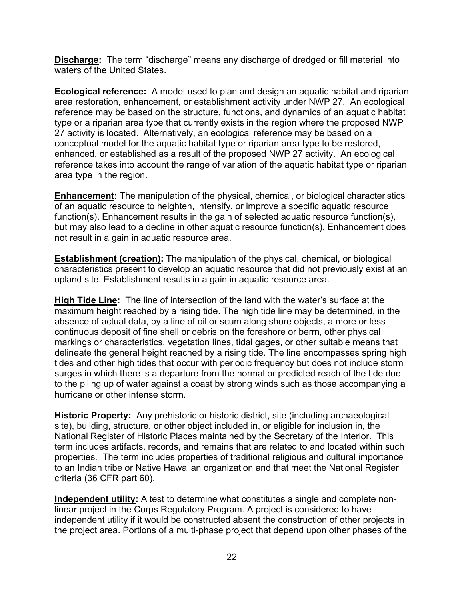**Discharge:** The term "discharge" means any discharge of dredged or fill material into waters of the United States.

**Ecological reference:** A model used to plan and design an aquatic habitat and riparian area restoration, enhancement, or establishment activity under NWP 27. An ecological reference may be based on the structure, functions, and dynamics of an aquatic habitat type or a riparian area type that currently exists in the region where the proposed NWP 27 activity is located. Alternatively, an ecological reference may be based on a conceptual model for the aquatic habitat type or riparian area type to be restored, enhanced, or established as a result of the proposed NWP 27 activity. An ecological reference takes into account the range of variation of the aquatic habitat type or riparian area type in the region.

**Enhancement:** The manipulation of the physical, chemical, or biological characteristics of an aquatic resource to heighten, intensify, or improve a specific aquatic resource function(s). Enhancement results in the gain of selected aquatic resource function(s), but may also lead to a decline in other aquatic resource function(s). Enhancement does not result in a gain in aquatic resource area.

**Establishment (creation):** The manipulation of the physical, chemical, or biological characteristics present to develop an aquatic resource that did not previously exist at an upland site. Establishment results in a gain in aquatic resource area.

**High Tide Line:** The line of intersection of the land with the water's surface at the maximum height reached by a rising tide. The high tide line may be determined, in the absence of actual data, by a line of oil or scum along shore objects, a more or less continuous deposit of fine shell or debris on the foreshore or berm, other physical markings or characteristics, vegetation lines, tidal gages, or other suitable means that delineate the general height reached by a rising tide. The line encompasses spring high tides and other high tides that occur with periodic frequency but does not include storm surges in which there is a departure from the normal or predicted reach of the tide due to the piling up of water against a coast by strong winds such as those accompanying a hurricane or other intense storm.

**Historic Property:** Any prehistoric or historic district, site (including archaeological site), building, structure, or other object included in, or eligible for inclusion in, the National Register of Historic Places maintained by the Secretary of the Interior. This term includes artifacts, records, and remains that are related to and located within such properties. The term includes properties of traditional religious and cultural importance to an Indian tribe or Native Hawaiian organization and that meet the National Register criteria (36 CFR part 60).

**Independent utility:** A test to determine what constitutes a single and complete nonlinear project in the Corps Regulatory Program. A project is considered to have independent utility if it would be constructed absent the construction of other projects in the project area. Portions of a multi-phase project that depend upon other phases of the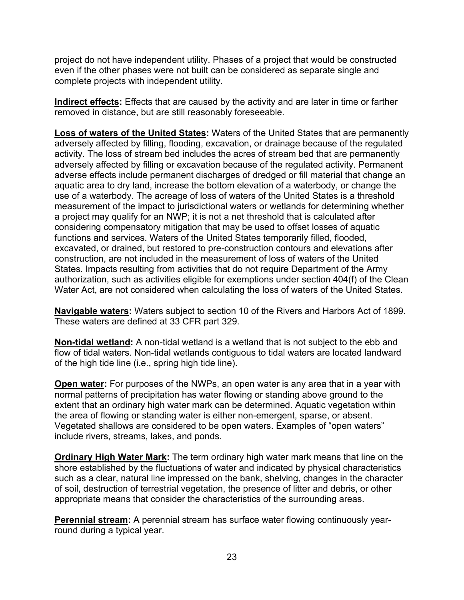project do not have independent utility. Phases of a project that would be constructed even if the other phases were not built can be considered as separate single and complete projects with independent utility.

**Indirect effects:** Effects that are caused by the activity and are later in time or farther removed in distance, but are still reasonably foreseeable.

**Loss of waters of the United States:** Waters of the United States that are permanently adversely affected by filling, flooding, excavation, or drainage because of the regulated activity. The loss of stream bed includes the acres of stream bed that are permanently adversely affected by filling or excavation because of the regulated activity. Permanent adverse effects include permanent discharges of dredged or fill material that change an aquatic area to dry land, increase the bottom elevation of a waterbody, or change the use of a waterbody. The acreage of loss of waters of the United States is a threshold measurement of the impact to jurisdictional waters or wetlands for determining whether a project may qualify for an NWP; it is not a net threshold that is calculated after considering compensatory mitigation that may be used to offset losses of aquatic functions and services. Waters of the United States temporarily filled, flooded, excavated, or drained, but restored to pre-construction contours and elevations after construction, are not included in the measurement of loss of waters of the United States. Impacts resulting from activities that do not require Department of the Army authorization, such as activities eligible for exemptions under section 404(f) of the Clean Water Act, are not considered when calculating the loss of waters of the United States.

**Navigable waters:** Waters subject to section 10 of the Rivers and Harbors Act of 1899. These waters are defined at 33 CFR part 329.

**Non-tidal wetland:** A non-tidal wetland is a wetland that is not subject to the ebb and flow of tidal waters. Non-tidal wetlands contiguous to tidal waters are located landward of the high tide line (i.e., spring high tide line).

**Open water:** For purposes of the NWPs, an open water is any area that in a year with normal patterns of precipitation has water flowing or standing above ground to the extent that an ordinary high water mark can be determined. Aquatic vegetation within the area of flowing or standing water is either non-emergent, sparse, or absent. Vegetated shallows are considered to be open waters. Examples of "open waters" include rivers, streams, lakes, and ponds.

**Ordinary High Water Mark:** The term ordinary high water mark means that line on the shore established by the fluctuations of water and indicated by physical characteristics such as a clear, natural line impressed on the bank, shelving, changes in the character of soil, destruction of terrestrial vegetation, the presence of litter and debris, or other appropriate means that consider the characteristics of the surrounding areas.

**Perennial stream:** A perennial stream has surface water flowing continuously yearround during a typical year.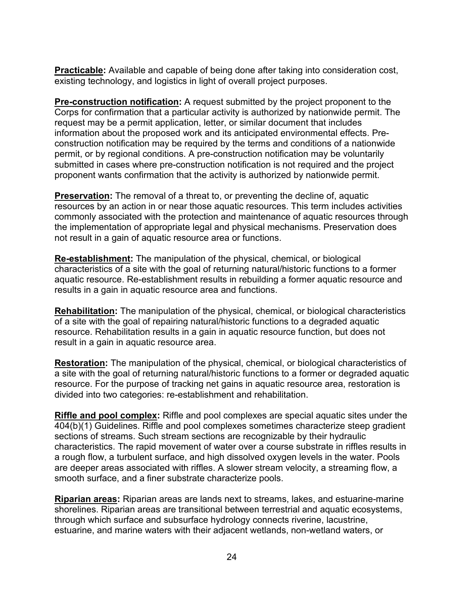**Practicable:** Available and capable of being done after taking into consideration cost, existing technology, and logistics in light of overall project purposes.

**Pre-construction notification:** A request submitted by the project proponent to the Corps for confirmation that a particular activity is authorized by nationwide permit. The request may be a permit application, letter, or similar document that includes information about the proposed work and its anticipated environmental effects. Preconstruction notification may be required by the terms and conditions of a nationwide permit, or by regional conditions. A pre-construction notification may be voluntarily submitted in cases where pre-construction notification is not required and the project proponent wants confirmation that the activity is authorized by nationwide permit.

**Preservation:** The removal of a threat to, or preventing the decline of, aquatic resources by an action in or near those aquatic resources. This term includes activities commonly associated with the protection and maintenance of aquatic resources through the implementation of appropriate legal and physical mechanisms. Preservation does not result in a gain of aquatic resource area or functions.

**Re-establishment:** The manipulation of the physical, chemical, or biological characteristics of a site with the goal of returning natural/historic functions to a former aquatic resource. Re-establishment results in rebuilding a former aquatic resource and results in a gain in aquatic resource area and functions.

**Rehabilitation:** The manipulation of the physical, chemical, or biological characteristics of a site with the goal of repairing natural/historic functions to a degraded aquatic resource. Rehabilitation results in a gain in aquatic resource function, but does not result in a gain in aquatic resource area.

**Restoration:** The manipulation of the physical, chemical, or biological characteristics of a site with the goal of returning natural/historic functions to a former or degraded aquatic resource. For the purpose of tracking net gains in aquatic resource area, restoration is divided into two categories: re-establishment and rehabilitation.

**Riffle and pool complex:** Riffle and pool complexes are special aquatic sites under the 404(b)(1) Guidelines. Riffle and pool complexes sometimes characterize steep gradient sections of streams. Such stream sections are recognizable by their hydraulic characteristics. The rapid movement of water over a course substrate in riffles results in a rough flow, a turbulent surface, and high dissolved oxygen levels in the water. Pools are deeper areas associated with riffles. A slower stream velocity, a streaming flow, a smooth surface, and a finer substrate characterize pools.

**Riparian areas:** Riparian areas are lands next to streams, lakes, and estuarine-marine shorelines. Riparian areas are transitional between terrestrial and aquatic ecosystems, through which surface and subsurface hydrology connects riverine, lacustrine, estuarine, and marine waters with their adjacent wetlands, non-wetland waters, or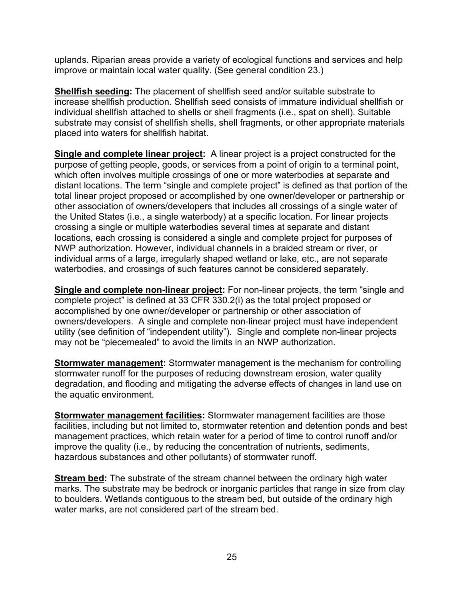uplands. Riparian areas provide a variety of ecological functions and services and help improve or maintain local water quality. (See general condition 23.)

**Shellfish seeding:** The placement of shellfish seed and/or suitable substrate to increase shellfish production. Shellfish seed consists of immature individual shellfish or individual shellfish attached to shells or shell fragments (i.e., spat on shell). Suitable substrate may consist of shellfish shells, shell fragments, or other appropriate materials placed into waters for shellfish habitat.

**Single and complete linear project:** A linear project is a project constructed for the purpose of getting people, goods, or services from a point of origin to a terminal point, which often involves multiple crossings of one or more waterbodies at separate and distant locations. The term "single and complete project" is defined as that portion of the total linear project proposed or accomplished by one owner/developer or partnership or other association of owners/developers that includes all crossings of a single water of the United States (i.e., a single waterbody) at a specific location. For linear projects crossing a single or multiple waterbodies several times at separate and distant locations, each crossing is considered a single and complete project for purposes of NWP authorization. However, individual channels in a braided stream or river, or individual arms of a large, irregularly shaped wetland or lake, etc., are not separate waterbodies, and crossings of such features cannot be considered separately.

**Single and complete non-linear project:** For non-linear projects, the term "single and complete project" is defined at 33 CFR 330.2(i) as the total project proposed or accomplished by one owner/developer or partnership or other association of owners/developers. A single and complete non-linear project must have independent utility (see definition of "independent utility"). Single and complete non-linear projects may not be "piecemealed" to avoid the limits in an NWP authorization.

**Stormwater management:** Stormwater management is the mechanism for controlling stormwater runoff for the purposes of reducing downstream erosion, water quality degradation, and flooding and mitigating the adverse effects of changes in land use on the aquatic environment.

**Stormwater management facilities:** Stormwater management facilities are those facilities, including but not limited to, stormwater retention and detention ponds and best management practices, which retain water for a period of time to control runoff and/or improve the quality (i.e., by reducing the concentration of nutrients, sediments, hazardous substances and other pollutants) of stormwater runoff.

**Stream bed:** The substrate of the stream channel between the ordinary high water marks. The substrate may be bedrock or inorganic particles that range in size from clay to boulders. Wetlands contiguous to the stream bed, but outside of the ordinary high water marks, are not considered part of the stream bed.